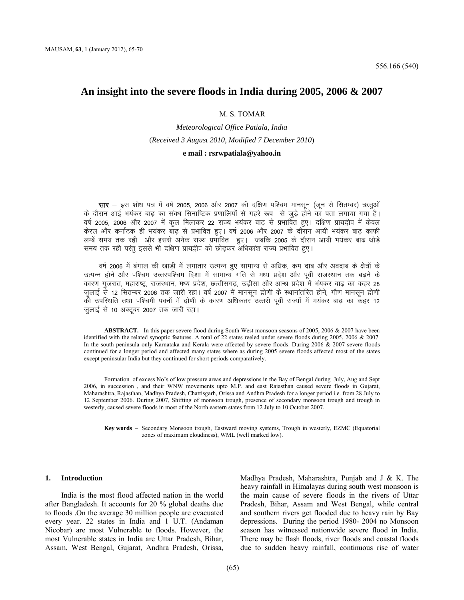# **An insight into the severe floods in India during 2005, 2006 & 2007**

#### M. S. TOMAR

# *Meteorological Office Patiala, India* (*Received 3 August 2010, Modified 7 December 2010*) **e mail : rsrwpatiala@yahoo.in**

**सार** — इस शोध पत्र में वर्ष 2005, 2006 और 2007 की दक्षिण पश्चिम मानसून (जुन से सितम्बर) ऋतुओं के दौरान आई भयंकर बाढ का संबध सिनाप्टिक प्रणालियों से गहरे रूप) से जुड़े होने का पता लगाया गया है। वर्ष 2005, 2006 और 2007 में कूल मिलाकर 22 राज्य भयंकर बाढ़ से प्रभावित हुए। दक्षिण प्रायद्वीप में केवल केरल और कर्नाटक ही भयंकर बाढ़ से प्रभावित हुए। वर्ष 2006 और 2007 के दौरान आयी भयंकर बाढ़ काफी लम्बें समय तक रही और इससे अनेक राज्य प्रभावित हुए। जबकि 2005 के दौरान आयी भयंकर बाढ थोड़े समय तक रही परंतू इससे भी दक्षिण प्रायद्वीप को छोड़कर अधिकांश राज्य प्रभावित हुए।

वर्ष 2006 में बंगाल की खाड़ी में लगातार उत्पन्न हुए सामान्य से अधिक, कम दाब और अवदाब के क्षेत्रों के उत्पन्न होने और पश्चिम उत्तरपश्चिम दिशा में सामान्य गति से मध्य प्रदेश और पूर्वी राजस्थान तक बढ़ने के कारण गुजरात, महाराष्ट्र, राजस्थान, मध्य प्रदेश, छत्तीसगढ़, उड़ीसा और आन्ध्र प्रदेश में भंयकर बाढ़ का कहर 28 जुलाई से 12 सितम्बर 2006 तक जारी रहा। वर्ष 2007 में मानसून द्रोणी के स्थानांतरित होने, गौण मानसून द्रोणी की उपस्थिति तथा पश्चिमी पवनों में द्रोणी के कारण अधिकतर उत्तरी पूर्वी राज्यों में भयंकर बाढ का कहर 12 जुलाई से 10 अक्टूबर 2007 तक जारी रहा।

**ABSTRACT.** In this paper severe flood during South West monsoon seasons of 2005, 2006 & 2007 have been identified with the related synoptic features. A total of 22 states reeled under severe floods during 2005, 2006 & 2007. In the south peninsula only Karnataka and Kerala were affected by severe floods. During 2006 & 2007 severe floods continued for a longer period and affected many states where as during 2005 severe floods affected most of the states except peninsular India but they continued for short periods comparatively.

Formation of excess No's of low pressure areas and depressions in the Bay of Bengal during July, Aug and Sept 2006, in succession , and their WNW movements upto M.P. and east Rajasthan caused severe floods in Gujarat, Maharashtra, Rajasthan, Madhya Pradesh, Chattisgarh, Orissa and Andhra Pradesh for a longer period i.e. from 28 July to 12 September 2006. During 2007, Shifting of monsoon trough, presence of secondary monsoon trough and trough in westerly, caused severe floods in most of the North eastern states from 12 July to 10 October 2007.

**Key words** ‒ Secondary Monsoon trough, Eastward moving systems, Trough in westerly, EZMC (Equatorial zones of maximum cloudiness), WML (well marked low).

#### **1. Introduction**

India is the most flood affected nation in the world after Bangladesh. It accounts for 20 % global deaths due to floods .On the average 30 million people are evacuated every year. 22 states in India and 1 U.T. (Andaman Nicobar) are most Vulnerable to floods. However, the most Vulnerable states in India are Uttar Pradesh, Bihar, Assam, West Bengal, Gujarat, Andhra Pradesh, Orissa,

Madhya Pradesh, Maharashtra, Punjab and J & K. The heavy rainfall in Himalayas during south west monsoon is the main cause of severe floods in the rivers of Uttar Pradesh, Bihar, Assam and West Bengal, while central and southern rivers get flooded due to heavy rain by Bay depressions. During the period 1980- 2004 no Monsoon season has witnessed nationwide severe flood in India. There may be flash floods, river floods and coastal floods due to sudden heavy rainfall, continuous rise of water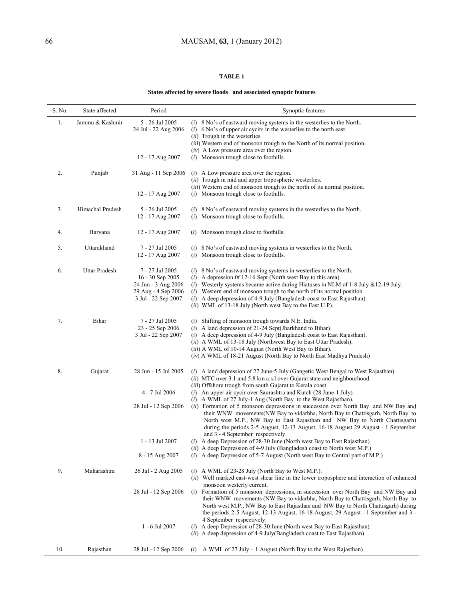## **TABLE 1**

# **States affected by severe floods and associated synoptic features**

| S. No. | State affected   | Period                                                                                                     | Synoptic features                                                                                                                                                                                                                                                                                                                                                                                                                                                                                                                                                                                                                                                                                                                                                                                                                    |
|--------|------------------|------------------------------------------------------------------------------------------------------------|--------------------------------------------------------------------------------------------------------------------------------------------------------------------------------------------------------------------------------------------------------------------------------------------------------------------------------------------------------------------------------------------------------------------------------------------------------------------------------------------------------------------------------------------------------------------------------------------------------------------------------------------------------------------------------------------------------------------------------------------------------------------------------------------------------------------------------------|
| 1.     | Jammu & Kashmir  | 5 - 26 Jul 2005<br>24 Jul - 22 Aug 2006                                                                    | $(i)$ 8 No's of eastward moving systems in the westerlies to the North.<br>$(i)$ 6 No's of upper air cycirs in the westerlies to the north east.<br>(ii) Trough in the westerlies.<br>(iii) Western end of monsoon trough to the North of its normal position.                                                                                                                                                                                                                                                                                                                                                                                                                                                                                                                                                                       |
|        |                  | 12 - 17 Aug 2007                                                                                           | $(iv)$ A Low pressure area over the region.<br>( <i>i</i> ) Monsoon trough close to foothills.                                                                                                                                                                                                                                                                                                                                                                                                                                                                                                                                                                                                                                                                                                                                       |
| 2.     | Punjab           | 31 Aug - 11 Sep 2006                                                                                       | $(i)$ A Low pressure area over the region.<br>(ii) Trough in mid and upper tropospheric westerlies.<br>( <i>iii</i> ) Western end of monsoon trough to the north of its normal position.                                                                                                                                                                                                                                                                                                                                                                                                                                                                                                                                                                                                                                             |
|        |                  | 12 - 17 Aug 2007                                                                                           | ( <i>i</i> ) Monsoon trough close to foothills.                                                                                                                                                                                                                                                                                                                                                                                                                                                                                                                                                                                                                                                                                                                                                                                      |
| 3.     | Himachal Pradesh | 5 - 26 Jul 2005<br>12 - 17 Aug 2007                                                                        | $(i)$ 8 No's of eastward moving systems in the westerlies to the North.<br>( <i>i</i> ) Monsoon trough close to foothills.                                                                                                                                                                                                                                                                                                                                                                                                                                                                                                                                                                                                                                                                                                           |
| 4.     | Haryana          | 12 - 17 Aug 2007                                                                                           | Monsoon trough close to foothills.<br>(i)                                                                                                                                                                                                                                                                                                                                                                                                                                                                                                                                                                                                                                                                                                                                                                                            |
| 5.     | Uttarakhand      | 7 - 27 Jul 2005<br>12 - 17 Aug 2007                                                                        | $(i)$ 8 No's of eastward moving systems in westerlies to the North.<br>$(i)$ Monsoon trough close to foothills.                                                                                                                                                                                                                                                                                                                                                                                                                                                                                                                                                                                                                                                                                                                      |
| 6.     | Uttar Pradesh    | 7 - 27 Jul 2005<br>$16 - 30$ Sep 2005<br>24 Jun - 3 Aug 2006<br>29 Aug - 4 Sep 2006<br>3 Jul - 22 Sep 2007 | $(i)$ 8 No's of eastward moving systems in westerlies to the North.<br>$(i)$ A depression 0f 12-16 Sept (North west Bay to this area)<br>(i) Westerly systems became active during Hiatuses in NLM of 1-8 July $& 12-19$ July.<br>$(i)$ Western end of monsoon trough to the north of its normal position.<br>$(i)$ A deep depression of 4-9 July (Bangladesh coast to East Rajasthan).<br>(ii) WML of 13-18 July (North west Bay to the East U.P).                                                                                                                                                                                                                                                                                                                                                                                  |
| 7.     | Bihar            | 7 - 27 Jul 2005<br>23 - 25 Sep 2006<br>3 Jul - 22 Sep 2007                                                 | $(i)$ Shifting of monsoon trough towards N.E. India.<br>$(i)$ A land depression of 21-24 Sept(Jharkhand to Bihar)<br>$(i)$ A deep depression of 4-9 July (Bangladesh coast to East Rajasthan).<br>(ii) A WML of 13-18 July (Northwest Bay to East Uttar Pradesh).<br>(iii) A WML of 10-14 August (North West Bay to Bihar).<br>(iv) A WML of 18-21 August (North Bay to North East Madhya Pradesh)                                                                                                                                                                                                                                                                                                                                                                                                                                   |
| 8.     | Gujarat          | 28 Jun - 15 Jul 2005<br>4 - 7 Jul 2006<br>28 Jul - 12 Sep 2006<br>1 - 13 Jul 2007                          | (i) A land depression of 27 June-5 July (Gangetic West Bengal to West Rajasthan).<br>(ii) MTC over 3.1 and 5.8 km a.s.l over Gujarat state and neighbourhood.<br>(iii) Offshore trough from south Gujarat to Kerala coast.<br>$(i)$ An upper air cycir over Saurashtra and Kutch (28 June-1 July).<br>$(i)$ A WML of 27 July-1 Aug (North Bay to the West Rajasthan).<br>(ii) Formation of 5 monsoon depressions in succession over North Bay and NW Bay and<br>their WNW movements (NW Bay to vidarbha, North Bay to Chattisgarh, North Bay to<br>North west M.P., NW Bay to East Rajasthan and NW Bay to North Chattisgarh)<br>during the periods 2-5 August, 12-13 August, 16-18 August 29 August - 1 September<br>and 3 - 4 September respectively.<br>$(i)$ A deep Depression of 28-30 June (North west Bay to East Rajasthan). |
|        |                  | 8 - 15 Aug 2007                                                                                            | (ii) A deep Depression of 4-9 July (Bangladesh coast to North west M.P.)<br>$(i)$ A deep Depression of 5-7 August (North west Bay to Central part of M.P.)                                                                                                                                                                                                                                                                                                                                                                                                                                                                                                                                                                                                                                                                           |
| 9.     | Maharashtra      | 26 Jul - 2 Aug 2005                                                                                        | $(i)$ A WML of 23-28 July (North Bay to West M.P.).<br>(ii) Well marked east-west shear line in the lower troposphere and interaction of enhanced                                                                                                                                                                                                                                                                                                                                                                                                                                                                                                                                                                                                                                                                                    |
|        |                  | 28 Jul - 12 Sep 2006                                                                                       | monsoon westerly current.<br>(i) Formation of 5 monsoon depressions, in succession over North Bay and NW Bay and<br>their WNW movements (NW Bay to vidarbha, North Bay to Chattisgarh, North Bay to<br>North west M.P., NW Bay to East Rajasthan and NW Bay to North Chattisgarh) during<br>the periods 2-5 August, 12-13 August, 16-18 August, 29 August - 1 September and 3 -<br>4 September respectively.                                                                                                                                                                                                                                                                                                                                                                                                                         |
|        |                  | 1 - 6 Jul 2007                                                                                             | $(i)$ A deep Depression of 28-30 June (North west Bay to East Rajasthan).<br>(ii) A deep depression of 4-9 July (Bangladesh coast to East Rajasthan)                                                                                                                                                                                                                                                                                                                                                                                                                                                                                                                                                                                                                                                                                 |
| 10.    | Rajasthan        | 28 Jul - 12 Sep 2006                                                                                       | (i) A WML of 27 July $-1$ August (North Bay to the West Rajasthan).                                                                                                                                                                                                                                                                                                                                                                                                                                                                                                                                                                                                                                                                                                                                                                  |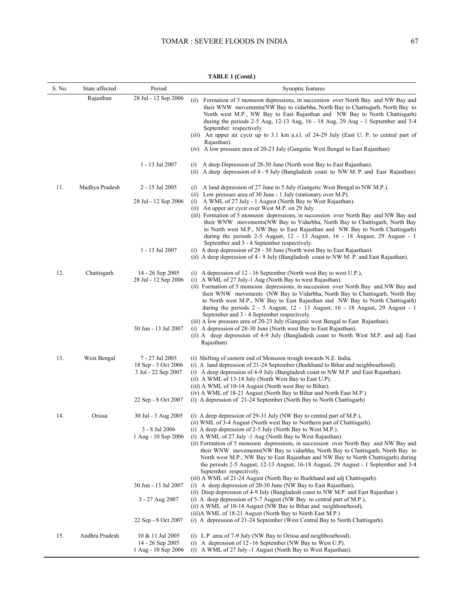| S. No. | State affected | Period                                                        | Synoptic features                                                                                                                                                                                                                                                                                                                                                                                                                                                                                                                                                                                                                                                    |
|--------|----------------|---------------------------------------------------------------|----------------------------------------------------------------------------------------------------------------------------------------------------------------------------------------------------------------------------------------------------------------------------------------------------------------------------------------------------------------------------------------------------------------------------------------------------------------------------------------------------------------------------------------------------------------------------------------------------------------------------------------------------------------------|
|        | Rajasthan      | 28 Jul - 12 Sep 2006                                          | (ii) Formation of 5 monsoon depressions, in succession over North Bay and NW Bay and<br>their WNW movements (NW Bay to vidarbha, North Bay to Chattisgarh, North Bay to<br>North west M.P., NW Bay to East Rajasthan and NW Bay to North Chattisgarh)<br>during the periods $2-5$ Aug, $12-13$ Aug, $16 - 18$ Aug, $29$ Aug - 1 September and $3-4$<br>September respectively.<br><i>(iii)</i> An upper air cycir up to 3.1 km a.s.l. of 24-29 July (East U. P. to central part of<br>Rajasthan).<br>$(iv)$ A low pressure area of 20-23 July (Gangetic West Bengal to East Rajasthan)                                                                               |
|        |                | 1 - 13 Jul 2007                                               | $(i)$ A deep Depression of 28-30 June (North west Bay to East Rajasthan).<br>(ii) A deep depression of 4 - 9 July (Bangladesh coast to NW M. P. and East Rajasthan)                                                                                                                                                                                                                                                                                                                                                                                                                                                                                                  |
| 11.    | Madhya Pradesh | 2 - 15 Jul 2005                                               | A land depression of 27 June to 5 July (Gangetic West Bengal to NW M.P.).<br>(i)<br>(ii) Low pressure area of 30 June - 1 July (stationary over M.P).                                                                                                                                                                                                                                                                                                                                                                                                                                                                                                                |
|        |                | 28 Jul - 12 Sep 2006                                          | $(i)$ A WML of 27 July - 1 August (North Bay to West Rajasthan).<br>(ii) An upper air cycir over West M.P. on 29 July.<br>(iii) Formation of 5 monsoon depressions, in succession over North Bay and NW Bay and<br>their WNW movements (NW Bay to Vidarbha, North Bay to Chattisgarh, North Bay<br>to North west M.P., NW Bay to East Rajasthan and NW Bay to North Chattisgarh)<br>during the periods 2-5 August, $12 - 13$ August, $16 - 18$ August, 29 August - 1                                                                                                                                                                                                 |
|        |                | 1 - 13 Jul 2007                                               | September and 3 - 4 September respectively.<br>$(i)$ A deep depression of 28 - 30 June (North west Bay to East Rajasthan).<br>(ii) A deep depression of 4 - 9 July (Bangladesh coast to NW M. P. and East Rajasthan).                                                                                                                                                                                                                                                                                                                                                                                                                                                |
| 12.    | Chattisgarh    | 14 - 26 Sep 2005<br>28 Jul - 12 Sep 2006                      | (i) A depression of 12 - 16 September (North west Bay to west U.P.),<br>$(i)$ A WML of 27 July-1 Aug (North Bay to west Rajasthan).<br>(ii) Formation of 5 monsoon depressions, in succession over North Bay and NW Bay and<br>their WNW movements (NW Bay to Vidarbha, North Bay to Chattisgarh, North Bay<br>to North west M.P., NW Bay to East Rajasthan and NW Bay to North Chattisgarh)<br>during the periods $2 - 5$ August, $12 - 13$ August, $16 - 18$ August, 29 August - 1<br>September and 3 - 4 September respectively.<br>(iii) A low pressure area of 20-23 July (Gangetic west Bengal to East Rajasthan).                                             |
|        |                | 30 Jun - 13 Jul 2007                                          | $(i)$ A depression of 28-30 June (North west Bay to East Rajasthan).<br>(ii) A deep depression of 4-9 July (Bangladesh coast to North West M.P. and adj East<br>Rajasthan)                                                                                                                                                                                                                                                                                                                                                                                                                                                                                           |
| 13.    | West Bengal    | 7 - 27 Jul 2005<br>18 Sep - 5 Oct 2006<br>3 Jul - 22 Sep 2007 | $(i)$ Shifting of eastern end of Monsoon trough towards N.E. India.<br>$(i)$ A land depression of 21-24 September (Jharkhand to Bihar and neighbourhood).<br>(i) A deep depression of 4-9 July (Bangladesh coast to NW M.P. and East Rajasthan).<br>(ii) A WML of 13-18 July (North West Bay to East U.P).<br>(iii) A WML of 10-14 August (North west Bay to Bihar).<br>(iv) A WML of 18-21 August (North Bay to Bihar and North East M.P.)                                                                                                                                                                                                                          |
|        |                | 22 Sep - 8 Oct 2007                                           | $(i)$ A depression of 21-24 September (North Bay to North Chattisgarh)                                                                                                                                                                                                                                                                                                                                                                                                                                                                                                                                                                                               |
| 14.    | Orissa         | 30 Jul - 3 Aug 2005<br>3 - 8 Jul 2006<br>1 Aug - 10 Sep 2006  | (i) A deep depression of 29-31 July (NW Bay to central part of M.P.),<br>(ii) WML of 3-4 August (North west Bay to Northern part of Chattisgarh).<br>$(i)$ A deep depression of 2-5 July (North Bay to West M.P.).<br>$(i)$ A WML of 27 July -1 Aug (North Bay to West Rajasthan).<br>(ii) Formation of 5 monsoon depressions, in succession over North Bay and NW Bay and<br>their WNW movements (NW Bay to vidarbha, North Bay to Chattisgarh, North Bay to<br>North west M.P., NW Bay to East Rajasthan and NW Bay to North Chattisgarh) during<br>the periods 2-5 August, 12-13 August, 16-18 August, 29 August - 1 September and 3-4<br>September respectively. |
|        |                | 30 Jun - 13 Jul 2007                                          | (iii) A WML of 21-24 August (North Bay to Jharkhand and adj Chattisgarh).<br>(i) A deep depression of 20-30 June (NW Bay to East Rajasthan),<br>(ii) Deep depression of 4-9 July (Bangladesh coast to NW M.P. and East Rajasthan)                                                                                                                                                                                                                                                                                                                                                                                                                                    |
|        |                | 3 - 27 Aug 2007                                               | (i) A deep depression of 5-7 August (NW Bay to central part of M.P.),<br>(ii) A WML of 10-14 August (NW Bay to Bihar and neighbourhood),<br><i>(iii)A WML of 18-21 August (North Bay to North East M.P.)</i>                                                                                                                                                                                                                                                                                                                                                                                                                                                         |
|        |                | 22 Sep - 8 Oct 2007                                           | $(i)$ A depression of 21-24 September (West Central Bay to North Chattisgarh).                                                                                                                                                                                                                                                                                                                                                                                                                                                                                                                                                                                       |
| 15.    | Andhra Pradesh | 10 & 11 Jul 2005<br>14 - 26 Sep 2005<br>1 Aug - 10 Sep 2006   | $(i)$ L.P .area of 7-9 July (NW Bay to Orissa and neighbourhood).<br>(i) A depression of 12 -16 September (NW Bay to West U.P).<br>(i) A WML of 27 July -1 August (North Bay to West Rajasthan).                                                                                                                                                                                                                                                                                                                                                                                                                                                                     |

#### **TABLE 1 (***Contd***.)**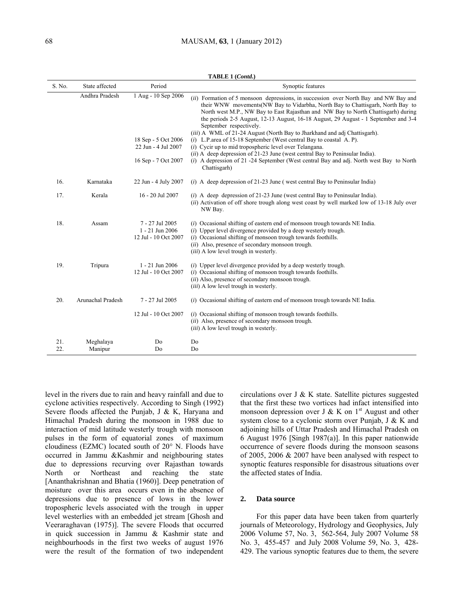| S. No.     | State affected       | Period                                                     | Synoptic features                                                                                                                                                                                                                                                                                                                                                                                                                                           |
|------------|----------------------|------------------------------------------------------------|-------------------------------------------------------------------------------------------------------------------------------------------------------------------------------------------------------------------------------------------------------------------------------------------------------------------------------------------------------------------------------------------------------------------------------------------------------------|
|            | Andhra Pradesh       | 1 Aug - 10 Sep 2006                                        | (ii) Formation of 5 monsoon depressions, in succession over North Bay and NW Bay and<br>their WNW movements (NW Bay to Vidarbha, North Bay to Chattisgarh, North Bay to<br>North west M.P., NW Bay to East Rajasthan and NW Bay to North Chattisgarh) during<br>the periods 2-5 August, 12-13 August, 16-18 August, 29 August - 1 September and 3-4<br>September respectively.<br>(iii) A WML of 21-24 August (North Bay to Jharkhand and adj Chattisgarh). |
|            |                      | 18 Sep - 5 Oct 2006                                        | $(i)$ L.P. area of 15-18 September (West central Bay to coastal A. P).                                                                                                                                                                                                                                                                                                                                                                                      |
|            |                      | 22 Jun - 4 Jul 2007                                        | $(i)$ Cycir up to mid tropospheric level over Telangana.                                                                                                                                                                                                                                                                                                                                                                                                    |
|            |                      |                                                            | $(ii)$ A deep depression of 21-23 June (west central Bay to Peninsular India).                                                                                                                                                                                                                                                                                                                                                                              |
|            |                      | 16 Sep - 7 Oct 2007                                        | (i) A depression of 21 -24 September (West central Bay and adj. North west Bay to North<br>Chattisgarh)                                                                                                                                                                                                                                                                                                                                                     |
| 16.        | Karnataka            | 22 Jun - 4 July 2007                                       | (i) A deep depression of 21-23 June (west central Bay to Peninsular India)                                                                                                                                                                                                                                                                                                                                                                                  |
| 17.        | Kerala               | 16 - 20 Jul 2007                                           | $(i)$ A deep depression of 21-23 June (west central Bay to Peninsular India).<br>(ii) Activation of off shore trough along west coast by well marked low of 13-18 July over<br>NW Bay.                                                                                                                                                                                                                                                                      |
| 18.        | Assam                | 7 - 27 Jul 2005<br>1 - 21 Jun 2006<br>12 Jul - 10 Oct 2007 | $(i)$ Occasional shifting of eastern end of monsoon trough towards NE India.<br>$(i)$ Upper level divergence provided by a deep westerly trough.<br>$(i)$ Occasional shifting of monsoon trough towards foothills.<br>(ii) Also, presence of secondary monsoon trough.<br>(iii) A low level trough in westerly.                                                                                                                                             |
| 19.        | Tripura              | 1 - 21 Jun 2006<br>12 Jul - 10 Oct 2007                    | $(i)$ Upper level divergence provided by a deep westerly trough.<br>$(i)$ Occasional shifting of monsoon trough towards foothills.<br>(ii) Also, presence of secondary monsoon trough.<br>( <i>iii</i> ) A low level trough in westerly.                                                                                                                                                                                                                    |
| 20.        | Arunachal Pradesh    | 7 - 27 Jul 2005                                            | ( <i>i</i> ) Occasional shifting of eastern end of monsoon trough towards NE India.                                                                                                                                                                                                                                                                                                                                                                         |
|            |                      | 12 Jul - 10 Oct 2007                                       | $(i)$ Occasional shifting of monsoon trough towards foothills.<br>(ii) Also, presence of secondary monsoon trough.<br>( <i>iii</i> ) A low level trough in westerly.                                                                                                                                                                                                                                                                                        |
| 21.<br>22. | Meghalaya<br>Manipur | Do<br>Do                                                   | Do<br>Do                                                                                                                                                                                                                                                                                                                                                                                                                                                    |

**TABLE 1 (***Contd***.)**

level in the rivers due to rain and heavy rainfall and due to cyclone activities respectively. According to Singh (1992) Severe floods affected the Punjab, J & K, Haryana and Himachal Pradesh during the monsoon in 1988 due to interaction of mid latitude westerly trough with monsoon pulses in the form of equatorial zones of maximum cloudiness (EZMC) located south of 20° N. Floods have occurred in Jammu &Kashmir and neighbouring states due to depressions recurving over Rajasthan towards North or Northeast and reaching the state [Ananthakrishnan and Bhatia (1960)]. Deep penetration of moisture over this area occurs even in the absence of depressions due to presence of lows in the lower tropospheric levels associated with the trough in upper level westerlies with an embedded jet stream [Ghosh and Veeraraghavan (1975)]. The severe Floods that occurred in quick succession in Jammu & Kashmir state and neighbourhoods in the first two weeks of august 1976 were the result of the formation of two independent

circulations over J & K state. Satellite pictures suggested that the first these two vortices had infact intensified into monsoon depression over J & K on  $1<sup>st</sup>$  August and other system close to a cyclonic storm over Punjab, J & K and adjoining hills of Uttar Pradesh and Himachal Pradesh on 6 August 1976 [Singh 1987(a)]. In this paper nationwide occurrence of severe floods during the monsoon seasons of 2005, 2006 & 2007 have been analysed with respect to synoptic features responsible for disastrous situations over the affected states of India.

#### **2. Data source**

For this paper data have been taken from quarterly journals of Meteorology, Hydrology and Geophysics, July 2006 Volume 57, No. 3, 562-564, July 2007 Volume 58 No. 3, 455-457 and July 2008 Volume 59, No. 3, 428- 429. The various synoptic features due to them, the severe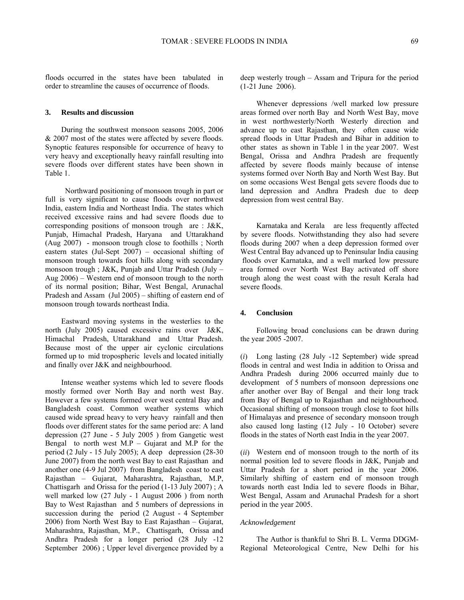floods occurred in the states have been tabulated in order to streamline the causes of occurrence of floods.

### **3. Results and discussion**

During the southwest monsoon seasons 2005, 2006 & 2007 most of the states were affected by severe floods. Synoptic features responsible for occurrence of heavy to very heavy and exceptionally heavy rainfall resulting into severe floods over different states have been shown in Table 1.

 Northward positioning of monsoon trough in part or full is very significant to cause floods over northwest India, eastern India and Northeast India. The states which received excessive rains and had severe floods due to corresponding positions of monsoon trough are : J&K, Punjab, Himachal Pradesh, Haryana and Uttarakhand (Aug 2007) - monsoon trough close to foothills ; North eastern states (Jul-Sept 2007) – occasional shifting of monsoon trough towards foot hills along with secondary monsoon trough ; J&K, Punjab and Uttar Pradesh (July – Aug 2006) – Western end of monsoon trough to the north of its normal position; Bihar, West Bengal, Arunachal Pradesh and Assam (Jul 2005) – shifting of eastern end of monsoon trough towards northeast India.

Eastward moving systems in the westerlies to the north (July 2005) caused excessive rains over J&K, Himachal Pradesh, Uttarakhand and Uttar Pradesh. Because most of the upper air cyclonic circulations formed up to mid tropospheric levels and located initially and finally over J&K and neighbourhood.

Intense weather systems which led to severe floods mostly formed over North Bay and north west Bay. However a few systems formed over west central Bay and Bangladesh coast. Common weather systems which caused wide spread heavy to very heavy rainfall and then floods over different states for the same period are: A land depression (27 June - 5 July 2005 ) from Gangetic west Bengal to north west M.P – Gujarat and M.P for the period (2 July - 15 July 2005); A deep depression (28-30 June 2007) from the north west Bay to east Rajasthan and another one (4-9 Jul 2007) from Bangladesh coast to east Rajasthan – Gujarat, Maharashtra, Rajasthan, M.P, Chattisgarh and Orissa for the period (1-13 July 2007) ; A well marked low (27 July - 1 August 2006 ) from north Bay to West Rajasthan and 5 numbers of depressions in succession during the period (2 August - 4 September 2006) from North West Bay to East Rajasthan – Gujarat, Maharashtra, Rajasthan, M.P., Chattisgarh, Orissa and Andhra Pradesh for a longer period (28 July -12 September 2006) ; Upper level divergence provided by a

deep westerly trough – Assam and Tripura for the period (1-21 June 2006).

Whenever depressions /well marked low pressure areas formed over north Bay and North West Bay, move in west northwesterly/North Westerly direction and advance up to east Rajasthan, they often cause wide spread floods in Uttar Pradesh and Bihar in addition to other states as shown in Table 1 in the year 2007. West Bengal, Orissa and Andhra Pradesh are frequently affected by severe floods mainly because of intense systems formed over North Bay and North West Bay. But on some occasions West Bengal gets severe floods due to land depression and Andhra Pradesh due to deep depression from west central Bay.

Karnataka and Kerala are less frequently affected by severe floods. Notwithstanding they also had severe floods during 2007 when a deep depression formed over West Central Bay advanced up to Peninsular India causing floods over Karnataka, and a well marked low pressure area formed over North West Bay activated off shore trough along the west coast with the result Kerala had severe floods.

#### **4. Conclusion**

Following broad conclusions can be drawn during the year 2005 -2007.

(*i*) Long lasting (28 July -12 September) wide spread floods in central and west India in addition to Orissa and Andhra Pradesh during 2006 occurred mainly due to development of 5 numbers of monsoon depressions one after another over Bay of Bengal and their long track from Bay of Bengal up to Rajasthan and neighbourhood. Occasional shifting of monsoon trough close to foot hills of Himalayas and presence of secondary monsoon trough also caused long lasting (12 July - 10 October) severe floods in the states of North east India in the year 2007.

(*ii*) Western end of monsoon trough to the north of its normal position led to severe floods in J&K, Punjab and Uttar Pradesh for a short period in the year 2006. Similarly shifting of eastern end of monsoon trough towards north east India led to severe floods in Bihar, West Bengal, Assam and Arunachal Pradesh for a short period in the year 2005.

#### *Acknowledgement*

The Author is thankful to Shri B. L. Verma DDGM-Regional Meteorological Centre, New Delhi for his